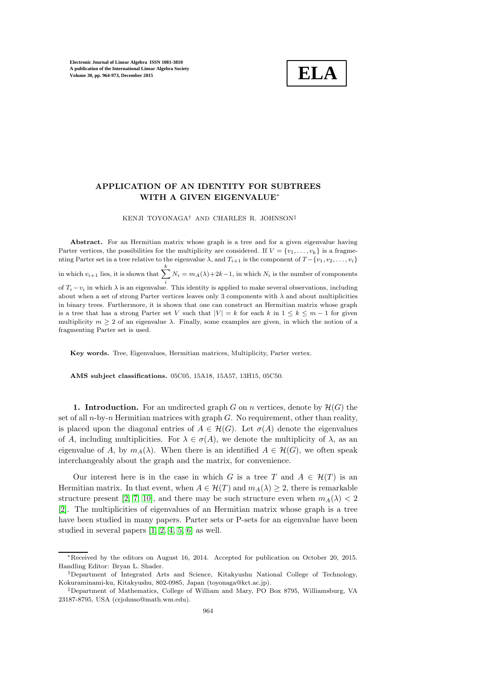

# APPLICATION OF AN IDENTITY FOR SUBTREES WITH A GIVEN EIGENVALUE<sup>∗</sup>

KENJI TOYONAGA† AND CHARLES R. JOHNSON‡

Abstract. For an Hermitian matrix whose graph is a tree and for a given eigenvalue having Parter vertices, the possibilities for the multiplicity are considered. If  $V = \{v_1, \ldots, v_k\}$  is a fragmenting Parter set in a tree relative to the eigenvalue  $\lambda$ , and  $T_{i+1}$  is the component of  $T - \{v_1, v_2, \ldots, v_i\}$ in which  $v_{i+1}$  lies, it is shown that  $\sum_{i=1}^{k} N_i = m_A(\lambda) + 2k - 1$ , in which  $N_i$  is the number of components of  $T_i - v_i$  in which  $\lambda$  is an eigenvalue. This identity is applied to make several observations, including about when a set of strong Parter vertices leaves only 3 components with  $\lambda$  and about multiplicities in binary trees. Furthermore, it is shown that one can construct an Hermitian matrix whose graph is a tree that has a strong Parter set V such that  $|V| = k$  for each k in  $1 \leq k \leq m-1$  for given multiplicity  $m \geq 2$  of an eigenvalue  $\lambda$ . Finally, some examples are given, in which the notion of a fragmenting Parter set is used.

Key words. Tree, Eigenvalues, Hermitian matrices, Multiplicity, Parter vertex.

AMS subject classifications. 05C05, 15A18, 15A57, 13H15, 05C50.

**1. Introduction.** For an undirected graph G on n vertices, denote by  $\mathcal{H}(G)$  the set of all  $n$ -by-n Hermitian matrices with graph  $G$ . No requirement, other than reality, is placed upon the diagonal entries of  $A \in \mathcal{H}(G)$ . Let  $\sigma(A)$  denote the eigenvalues of A, including multiplicities. For  $\lambda \in \sigma(A)$ , we denote the multiplicity of  $\lambda$ , as an eigenvalue of A, by  $m_A(\lambda)$ . When there is an identified  $A \in \mathcal{H}(G)$ , we often speak interchangeably about the graph and the matrix, for convenience.

Our interest here is in the case in which G is a tree T and  $A \in \mathcal{H}(T)$  is an Hermitian matrix. In that event, when  $A \in \mathcal{H}(T)$  and  $m_A(\lambda) \geq 2$ , there is remarkable structure present [\[2,](#page-9-0) [7,](#page-9-1) [10\]](#page-9-2), and there may be such structure even when  $m_A(\lambda) < 2$ [\[2\]](#page-9-0). The multiplicities of eigenvalues of an Hermitian matrix whose graph is a tree have been studied in many papers. Parter sets or P-sets for an eigenvalue have been studied in several papers [\[1,](#page-9-3) [2,](#page-9-0) [4,](#page-9-4) [5,](#page-9-5) [6\]](#page-9-6) as well.

<sup>∗</sup>Received by the editors on August 16, 2014. Accepted for publication on October 20, 2015. Handling Editor: Bryan L. Shader.

<sup>†</sup>Department of Integrated Arts and Science, Kitakyushu National College of Technology, Kokuraminami-ku, Kitakyushu, 802-0985, Japan (toyonaga@kct.ac.jp).

<sup>‡</sup>Department of Mathematics, College of William and Mary, PO Box 8795, Williamsburg, VA 23187-8795, USA (crjohnso@math.wm.edu).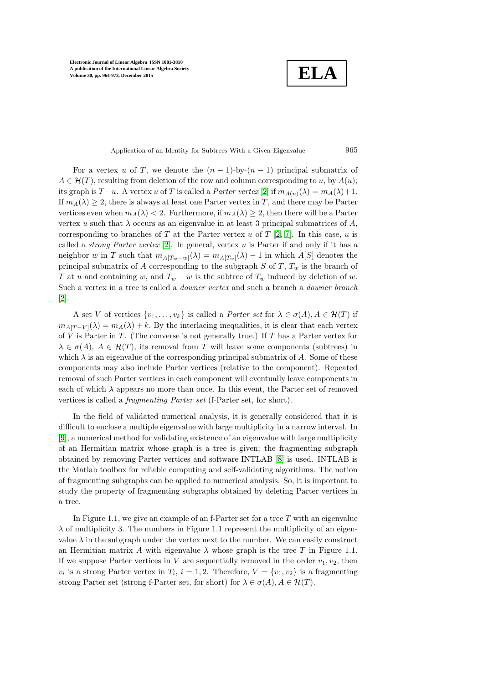**ELA**

Application of an Identity for Subtrees With a Given Eigenvalue 965

For a vertex u of T, we denote the  $(n-1)$ -by- $(n-1)$  principal submatrix of  $A \in \mathcal{H}(T)$ , resulting from deletion of the row and column corresponding to u, by  $A(u)$ ; its graph is  $T-u$ . A vertex u of T is called a *Parter vertex* [\[2\]](#page-9-0) if  $m_{A(u)}(\lambda) = m_A(\lambda)+1$ . If  $m_A(\lambda) \geq 2$ , there is always at least one Parter vertex in T, and there may be Parter vertices even when  $m_A(\lambda) < 2$ . Furthermore, if  $m_A(\lambda) \geq 2$ , then there will be a Parter vertex u such that  $\lambda$  occurs as an eigenvalue in at least 3 principal submatrices of A, corresponding to branches of T at the Parter vertex u of T [\[2,](#page-9-0) [7\]](#page-9-1). In this case, u is called a *strong Parter vertex*  $[2]$ . In general, vertex u is Parter if and only if it has a neighbor w in T such that  $m_{A[T_w-w]}(\lambda) = m_{A[T_w]}(\lambda) - 1$  in which  $A[S]$  denotes the principal submatrix of A corresponding to the subgraph S of T,  $T_w$  is the branch of T at u and containing w, and  $T_w - w$  is the subtree of  $T_w$  induced by deletion of w. Such a vertex in a tree is called a downer vertex and such a branch a downer branch [\[2\]](#page-9-0).

A set V of vertices  $\{v_1, \ldots, v_k\}$  is called a *Parter set* for  $\lambda \in \sigma(A), A \in \mathcal{H}(T)$  if  $m_{A[T-V]}(\lambda) = m_A(\lambda) + k$ . By the interlacing inequalities, it is clear that each vertex of V is Parter in T. (The converse is not generally true.) If T has a Parter vertex for  $\lambda \in \sigma(A)$ ,  $A \in \mathcal{H}(T)$ , its removal from T will leave some components (subtrees) in which  $\lambda$  is an eigenvalue of the corresponding principal submatrix of A. Some of these components may also include Parter vertices (relative to the component). Repeated removal of such Parter vertices in each component will eventually leave components in each of which  $\lambda$  appears no more than once. In this event, the Parter set of removed vertices is called a fragmenting Parter set (f-Parter set, for short).

In the field of validated numerical analysis, it is generally considered that it is difficult to enclose a multiple eigenvalue with large multiplicity in a narrow interval. In [\[9\]](#page-9-7), a numerical method for validating existence of an eigenvalue with large multiplicity of an Hermitian matrix whose graph is a tree is given; the fragmenting subgraph obtained by removing Parter vertices and software INTLAB [\[8\]](#page-9-8) is used. INTLAB is the Matlab toolbox for reliable computing and self-validating algorithms. The notion of fragmenting subgraphs can be applied to numerical analysis. So, it is important to study the property of fragmenting subgraphs obtained by deleting Parter vertices in a tree.

In Figure 1.1, we give an example of an f-Parter set for a tree  $T$  with an eigenvalue  $\lambda$  of multiplicity 3. The numbers in Figure 1.1 represent the multiplicity of an eigenvalue  $\lambda$  in the subgraph under the vertex next to the number. We can easily construct an Hermitian matrix A with eigenvalue  $\lambda$  whose graph is the tree T in Figure 1.1. If we suppose Parter vertices in V are sequentially removed in the order  $v_1, v_2$ , then  $v_i$  is a strong Parter vertex in  $T_i$ ,  $i = 1, 2$ . Therefore,  $V = \{v_1, v_2\}$  is a fragmenting strong Parter set (strong f-Parter set, for short) for  $\lambda \in \sigma(A)$ ,  $A \in \mathcal{H}(T)$ .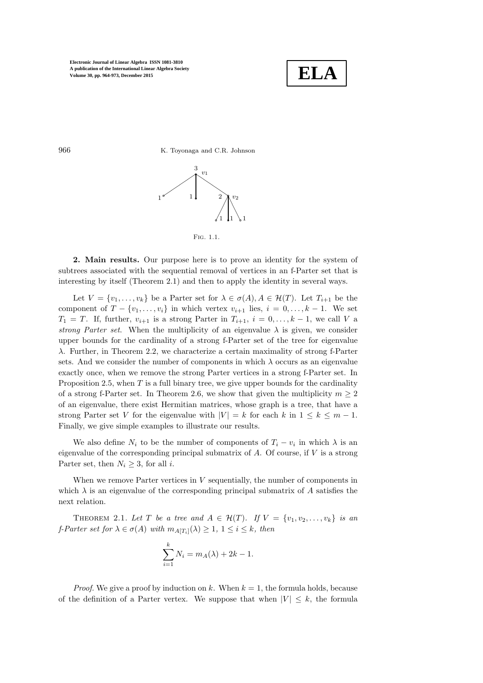

966 K. Toyonaga and C.R. Johnson





2. Main results. Our purpose here is to prove an identity for the system of subtrees associated with the sequential removal of vertices in an f-Parter set that is interesting by itself (Theorem 2.1) and then to apply the identity in several ways.

Let  $V = \{v_1, \ldots, v_k\}$  be a Parter set for  $\lambda \in \sigma(A), A \in \mathcal{H}(T)$ . Let  $T_{i+1}$  be the component of  $T - \{v_1, \ldots, v_i\}$  in which vertex  $v_{i+1}$  lies,  $i = 0, \ldots, k-1$ . We set  $T_1 = T$ . If, further,  $v_{i+1}$  is a strong Parter in  $T_{i+1}$ ,  $i = 0, \ldots, k-1$ , we call V a strong Parter set. When the multiplicity of an eigenvalue  $\lambda$  is given, we consider upper bounds for the cardinality of a strong f-Parter set of the tree for eigenvalue λ. Further, in Theorem 2.2, we characterize a certain maximality of strong f-Parter sets. And we consider the number of components in which  $\lambda$  occurs as an eigenvalue exactly once, when we remove the strong Parter vertices in a strong f-Parter set. In Proposition 2.5, when  $T$  is a full binary tree, we give upper bounds for the cardinality of a strong f-Parter set. In Theorem 2.6, we show that given the multiplicity  $m \geq 2$ of an eigenvalue, there exist Hermitian matrices, whose graph is a tree, that have a strong Parter set V for the eigenvalue with  $|V| = k$  for each k in  $1 \leq k \leq m-1$ . Finally, we give simple examples to illustrate our results.

We also define  $N_i$  to be the number of components of  $T_i - v_i$  in which  $\lambda$  is an eigenvalue of the corresponding principal submatrix of  $A$ . Of course, if  $V$  is a strong Parter set, then  $N_i \geq 3$ , for all *i*.

When we remove Parter vertices in  $V$  sequentially, the number of components in which  $\lambda$  is an eigenvalue of the corresponding principal submatrix of A satisfies the next relation.

THEOREM 2.1. Let T be a tree and  $A \in \mathcal{H}(T)$ . If  $V = \{v_1, v_2, \ldots, v_k\}$  is an f-Parter set for  $\lambda \in \sigma(A)$  with  $m_{A[T_i]}(\lambda) \geq 1, 1 \leq i \leq k$ , then

$$
\sum_{i=1}^{k} N_i = m_A(\lambda) + 2k - 1.
$$

*Proof.* We give a proof by induction on k. When  $k = 1$ , the formula holds, because of the definition of a Parter vertex. We suppose that when  $|V| \leq k$ , the formula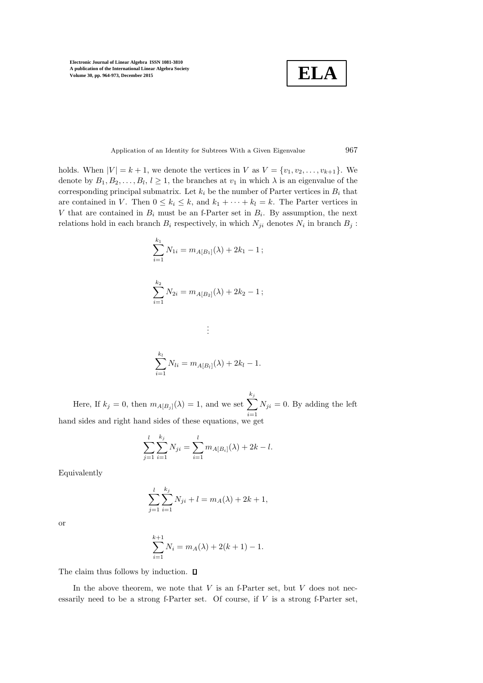**ELA**

### Application of an Identity for Subtrees With a Given Eigenvalue 967

holds. When  $|V| = k + 1$ , we denote the vertices in V as  $V = \{v_1, v_2, \ldots, v_{k+1}\}.$  We denote by  $B_1, B_2, \ldots, B_l, l \geq 1$ , the branches at  $v_1$  in which  $\lambda$  is an eigenvalue of the corresponding principal submatrix. Let  $k_i$  be the number of Parter vertices in  $B_i$  that are contained in V. Then  $0 \leq k_i \leq k$ , and  $k_1 + \cdots + k_l = k$ . The Parter vertices in V that are contained in  $B_i$  must be an f-Parter set in  $B_i$ . By assumption, the next relations hold in each branch  $B_i$  respectively, in which  $N_{ji}$  denotes  $N_i$  in branch  $B_j$ :

$$
\sum_{i=1}^{k_1} N_{1i} = m_{A[B_1]}(\lambda) + 2k_1 - 1 ;
$$
  

$$
\sum_{i=1}^{k_2} N_{2i} = m_{A[B_2]}(\lambda) + 2k_2 - 1 ;
$$

$$
\sum_{i=1}^{k_l} N_{li} = m_{A[B_l]}(\lambda) + 2k_l - 1.
$$

. . .

Here, If  $k_j = 0$ , then  $m_{A[B_j]}(\lambda) = 1$ , and we set  $\sum$  $k_j$  $i=1$  $N_{ji} = 0$ . By adding the left hand sides and right hand sides of these equations, we get

$$
\sum_{j=1}^{l} \sum_{i=1}^{k_j} N_{ji} = \sum_{i=1}^{l} m_{A[B_i]}(\lambda) + 2k - l.
$$

Equivalently

$$
\sum_{j=1}^{l} \sum_{i=1}^{k_j} N_{ji} + l = m_A(\lambda) + 2k + 1,
$$

or

$$
\sum_{i=1}^{k+1} N_i = m_A(\lambda) + 2(k+1) - 1.
$$

The claim thus follows by induction.  $\Box$ 

In the above theorem, we note that  $V$  is an f-Parter set, but  $V$  does not necessarily need to be a strong f-Parter set. Of course, if  $V$  is a strong f-Parter set,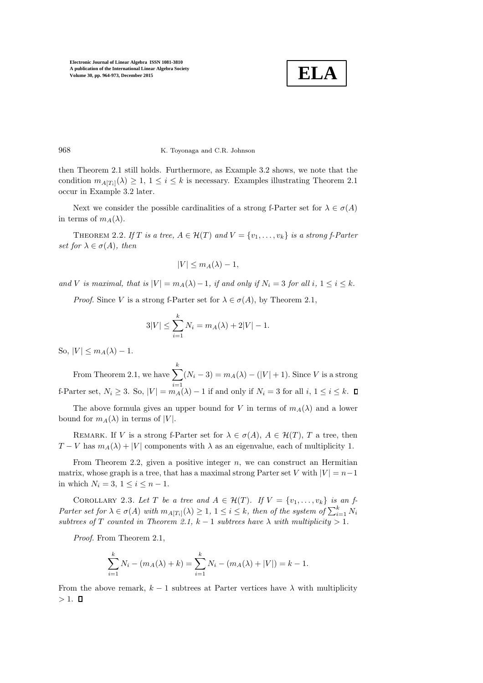

968 K. Toyonaga and C.R. Johnson

then Theorem 2.1 still holds. Furthermore, as Example 3.2 shows, we note that the condition  $m_{A[T_i]}(\lambda) \geq 1, 1 \leq i \leq k$  is necessary. Examples illustrating Theorem 2.1 occur in Example 3.2 later.

Next we consider the possible cardinalities of a strong f-Parter set for  $\lambda \in \sigma(A)$ in terms of  $m_A(\lambda)$ .

THEOREM 2.2. If T is a tree,  $A \in \mathcal{H}(T)$  and  $V = \{v_1, \ldots, v_k\}$  is a strong f-Parter set for  $\lambda \in \sigma(A)$ , then

$$
|V| \le m_A(\lambda) - 1,
$$

and V is maximal, that is  $|V| = m_A(\lambda) - 1$ , if and only if  $N_i = 3$  for all i,  $1 \le i \le k$ .

*Proof.* Since V is a strong f-Parter set for  $\lambda \in \sigma(A)$ , by Theorem 2.1,

$$
3|V| \le \sum_{i=1}^{k} N_i = m_A(\lambda) + 2|V| - 1.
$$

So,  $|V| \leq m_A(\lambda) - 1$ .

From Theorem 2.1, we have  $\sum$ k  $i=1$  $(N_i-3) = m_A(\lambda) - (|V|+1)$ . Since V is a strong f-Parter set,  $N_i \geq 3$ . So,  $|V| = m_A(\lambda) - 1$  if and only if  $N_i = 3$  for all  $i, 1 \leq i \leq k$ .

The above formula gives an upper bound for V in terms of  $m_A(\lambda)$  and a lower bound for  $m_A(\lambda)$  in terms of |V|.

REMARK. If V is a strong f-Parter set for  $\lambda \in \sigma(A)$ ,  $A \in \mathcal{H}(T)$ , T a tree, then  $T - V$  has  $m_A(\lambda) + |V|$  components with  $\lambda$  as an eigenvalue, each of multiplicity 1.

From Theorem 2.2, given a positive integer  $n$ , we can construct an Hermitian matrix, whose graph is a tree, that has a maximal strong Parter set V with  $|V| = n-1$ in which  $N_i = 3, 1 \leq i \leq n-1$ .

COROLLARY 2.3. Let T be a tree and  $A \in \mathcal{H}(T)$ . If  $V = \{v_1, \ldots, v_k\}$  is an f-Parter set for  $\lambda \in \sigma(A)$  with  $m_{A[T_i]}(\lambda) \geq 1, 1 \leq i \leq k$ , then of the system of  $\sum_{i=1}^{k} N_i$ subtrees of T counted in Theorem 2.1,  $k - 1$  subtrees have  $\lambda$  with multiplicity > 1.

Proof. From Theorem 2.1,

$$
\sum_{i=1}^{k} N_i - (m_A(\lambda) + k) = \sum_{i=1}^{k} N_i - (m_A(\lambda) + |V|) = k - 1.
$$

From the above remark,  $k-1$  subtrees at Parter vertices have  $\lambda$  with multiplicity  $> 1.$   $\Box$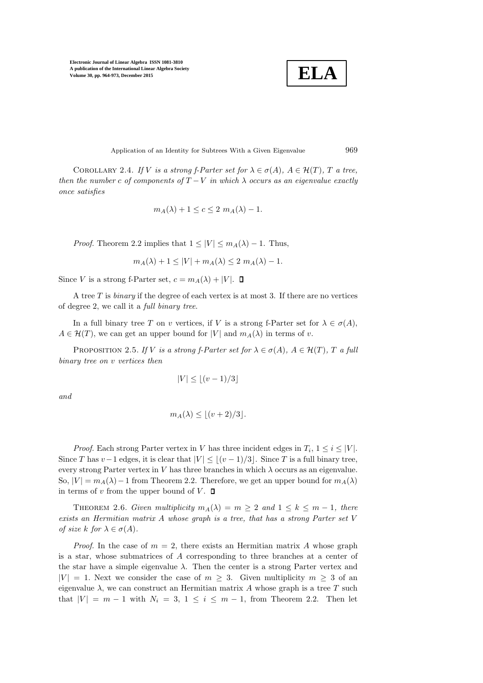$$
\boxed{\textbf{ELA}}
$$

Application of an Identity for Subtrees With a Given Eigenvalue 969

COROLLARY 2.4. If V is a strong f-Parter set for  $\lambda \in \sigma(A)$ ,  $A \in \mathcal{H}(T)$ , T a tree, then the number c of components of  $T - V$  in which  $\lambda$  occurs as an eigenvalue exactly once satisfies

$$
m_A(\lambda) + 1 \le c \le 2 m_A(\lambda) - 1.
$$

*Proof.* Theorem 2.2 implies that  $1 \leq |V| \leq m_A(\lambda) - 1$ . Thus,

$$
m_A(\lambda) + 1 \le |V| + m_A(\lambda) \le 2 m_A(\lambda) - 1.
$$

Since V is a strong f-Parter set,  $c = m_A(\lambda) + |V|$ .  $\Box$ 

A tree  $T$  is *binary* if the degree of each vertex is at most 3. If there are no vertices of degree 2, we call it a full binary tree.

In a full binary tree T on v vertices, if V is a strong f-Parter set for  $\lambda \in \sigma(A)$ ,  $A \in \mathcal{H}(T)$ , we can get an upper bound for  $|V|$  and  $m_A(\lambda)$  in terms of v.

PROPOSITION 2.5. If V is a strong f-Parter set for  $\lambda \in \sigma(A)$ ,  $A \in \mathcal{H}(T)$ , T a full binary tree on v vertices then

$$
|V| \le \lfloor (v-1)/3 \rfloor
$$

and

$$
m_A(\lambda) \le \lfloor (v+2)/3 \rfloor.
$$

*Proof.* Each strong Parter vertex in V has three incident edges in  $T_i$ ,  $1 \leq i \leq |V|$ . Since T has  $v-1$  edges, it is clear that  $|V| \leq |(v-1)/3|$ . Since T is a full binary tree, every strong Parter vertex in V has three branches in which  $\lambda$  occurs as an eigenvalue. So,  $|V| = m_A(\lambda) - 1$  from Theorem 2.2. Therefore, we get an upper bound for  $m_A(\lambda)$ in terms of v from the upper bound of V.  $\square$ 

THEOREM 2.6. Given multiplicity  $m_A(\lambda) = m \geq 2$  and  $1 \leq k \leq m-1$ , there exists an Hermitian matrix A whose graph is a tree, that has a strong Parter set V of size k for  $\lambda \in \sigma(A)$ .

*Proof.* In the case of  $m = 2$ , there exists an Hermitian matrix A whose graph is a star, whose submatrices of A corresponding to three branches at a center of the star have a simple eigenvalue  $\lambda$ . Then the center is a strong Parter vertex and  $|V| = 1$ . Next we consider the case of  $m \geq 3$ . Given multiplicity  $m \geq 3$  of an eigenvalue  $\lambda$ , we can construct an Hermitian matrix A whose graph is a tree T such that  $|V| = m - 1$  with  $N_i = 3, 1 \le i \le m - 1$ , from Theorem 2.2. Then let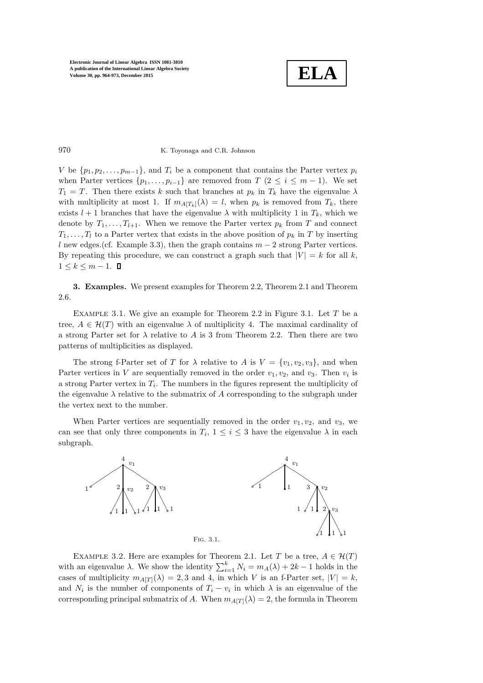

## 970 K. Toyonaga and C.R. Johnson

V be  $\{p_1, p_2, \ldots, p_{m-1}\}\$ , and  $T_i$  be a component that contains the Parter vertex  $p_i$ when Parter vertices  $\{p_1, \ldots, p_{i-1}\}\$ are removed from  $T$  ( $2 \leq i \leq m-1$ ). We set  $T_1 = T$ . Then there exists k such that branches at  $p_k$  in  $T_k$  have the eigenvalue  $\lambda$ with multiplicity at most 1. If  $m_{A[T_k]}(\lambda) = l$ , when  $p_k$  is removed from  $T_k$ , there exists  $l + 1$  branches that have the eigenvalue  $\lambda$  with multiplicity 1 in  $T_k$ , which we denote by  $T_1, \ldots, T_{l+1}$ . When we remove the Parter vertex  $p_k$  from T and connect  $T_1, \ldots, T_l$  to a Parter vertex that exists in the above position of  $p_k$  in T by inserting l new edges.(cf. Example 3.3), then the graph contains  $m-2$  strong Parter vertices. By repeating this procedure, we can construct a graph such that  $|V| = k$  for all k,  $1 \leq k \leq m-1$ .  $\Box$ 

3. Examples. We present examples for Theorem 2.2, Theorem 2.1 and Theorem 2.6.

EXAMPLE 3.1. We give an example for Theorem 2.2 in Figure 3.1. Let  $T$  be a tree,  $A \in \mathcal{H}(T)$  with an eigenvalue  $\lambda$  of multiplicity 4. The maximal cardinality of a strong Parter set for  $\lambda$  relative to A is 3 from Theorem 2.2. Then there are two patterns of multiplicities as displayed.

The strong f-Parter set of T for  $\lambda$  relative to A is  $V = \{v_1, v_2, v_3\}$ , and when Parter vertices in V are sequentially removed in the order  $v_1, v_2$ , and  $v_3$ . Then  $v_i$  is a strong Parter vertex in  $T_i$ . The numbers in the figures represent the multiplicity of the eigenvalue  $\lambda$  relative to the submatrix of A corresponding to the subgraph under the vertex next to the number.

When Parter vertices are sequentially removed in the order  $v_1, v_2$ , and  $v_3$ , we can see that only three components in  $T_i$ ,  $1 \leq i \leq 3$  have the eigenvalue  $\lambda$  in each subgraph.



EXAMPLE 3.2. Here are examples for Theorem 2.1. Let T be a tree,  $A \in \mathcal{H}(T)$ with an eigenvalue  $\lambda$ . We show the identity  $\sum_{i=1}^{k} N_i = m_A(\lambda) + 2k - 1$  holds in the cases of multiplicity  $m_{A[T]}(\lambda) = 2, 3$  and 4, in which V is an f-Parter set,  $|V| = k$ , and  $N_i$  is the number of components of  $T_i - v_i$  in which  $\lambda$  is an eigenvalue of the corresponding principal submatrix of A. When  $m_{A[T]}(\lambda) = 2$ , the formula in Theorem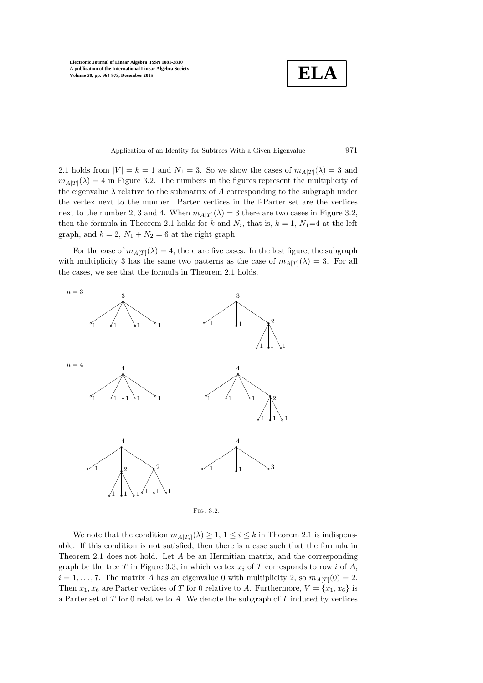**ELA**

Application of an Identity for Subtrees With a Given Eigenvalue 971

2.1 holds from  $|V| = k = 1$  and  $N_1 = 3$ . So we show the cases of  $m_{A[T]}(\lambda) = 3$  and  $m_{A[T]}(\lambda) = 4$  in Figure 3.2. The numbers in the figures represent the multiplicity of the eigenvalue  $\lambda$  relative to the submatrix of A corresponding to the subgraph under the vertex next to the number. Parter vertices in the f-Parter set are the vertices next to the number 2, 3 and 4. When  $m_{A[T]}(\lambda) = 3$  there are two cases in Figure 3.2, then the formula in Theorem 2.1 holds for k and  $N_i$ , that is,  $k = 1$ ,  $N_1=4$  at the left graph, and  $k = 2$ ,  $N_1 + N_2 = 6$  at the right graph.

For the case of  $m_{A[T]}(\lambda) = 4$ , there are five cases. In the last figure, the subgraph with multiplicity 3 has the same two patterns as the case of  $m_{A[T]}(\lambda) = 3$ . For all the cases, we see that the formula in Theorem 2.1 holds.



Fig. 3.2.

We note that the condition  $m_{A[T_i]}(\lambda) \geq 1, 1 \leq i \leq k$  in Theorem 2.1 is indispensable. If this condition is not satisfied, then there is a case such that the formula in Theorem 2.1 does not hold. Let A be an Hermitian matrix, and the corresponding graph be the tree T in Figure 3.3, in which vertex  $x_i$  of T corresponds to row i of A,  $i = 1, \ldots, 7$ . The matrix A has an eigenvalue 0 with multiplicity 2, so  $m_{A[T]}(0) = 2$ . Then  $x_1, x_6$  are Parter vertices of T for 0 relative to A. Furthermore,  $V = \{x_1, x_6\}$  is a Parter set of  $T$  for 0 relative to  $A$ . We denote the subgraph of  $T$  induced by vertices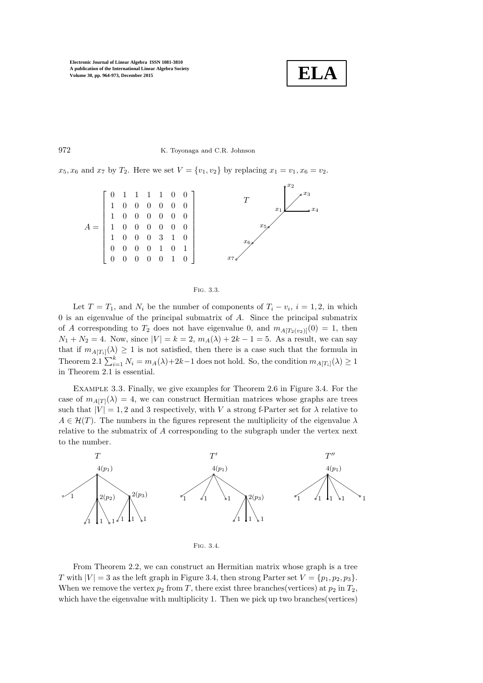

### 972 K. Toyonaga and C.R. Johnson

 $x_5, x_6$  and  $x_7$  by  $T_2$ . Here we set  $V = \{v_1, v_2\}$  by replacing  $x_1 = v_1, x_6 = v_2$ .



#### Fig. 3.3.

Let  $T = T_1$ , and  $N_i$  be the number of components of  $T_i - v_i$ ,  $i = 1, 2$ , in which 0 is an eigenvalue of the principal submatrix of A. Since the principal submatrix of A corresponding to  $T_2$  does not have eigenvalue 0, and  $m_{A[T_2(v_2)]}(0) = 1$ , then  $N_1 + N_2 = 4$ . Now, since  $|V| = k = 2$ ,  $m_A(\lambda) + 2k - 1 = 5$ . As a result, we can say that if  $m_{A[T_i]}(\lambda) \geq 1$  is not satisfied, then there is a case such that the formula in Theorem 2.1  $\sum_{i=1}^{k} N_i = m_A(\lambda) + 2k - 1$  does not hold. So, the condition  $m_{A[T_i]}(\lambda) \ge 1$ in Theorem 2.1 is essential.

Example 3.3. Finally, we give examples for Theorem 2.6 in Figure 3.4. For the case of  $m_{A[T]}(\lambda) = 4$ , we can construct Hermitian matrices whose graphs are trees such that  $|V| = 1, 2$  and 3 respectively, with V a strong f-Parter set for  $\lambda$  relative to  $A \in \mathcal{H}(T)$ . The numbers in the figures represent the multiplicity of the eigenvalue  $\lambda$ relative to the submatrix of A corresponding to the subgraph under the vertex next to the number.



Fig. 3.4.

From Theorem 2.2, we can construct an Hermitian matrix whose graph is a tree T with  $|V| = 3$  as the left graph in Figure 3.4, then strong Parter set  $V = \{p_1, p_2, p_3\}.$ When we remove the vertex  $p_2$  from T, there exist three branches(vertices) at  $p_2$  in  $T_2$ , which have the eigenvalue with multiplicity 1. Then we pick up two branches (vertices)